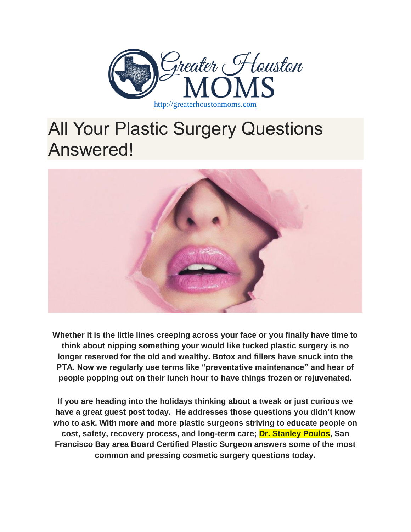

# All Your Plastic Surgery Questions Answered!



**Whether it is the little lines creeping across your face or you finally have time to think about nipping something your would like tucked plastic surgery is no longer reserved for the old and wealthy. Botox and fillers have snuck into the PTA. Now we regularly use terms like "preventative maintenance" and hear of people popping out on their lunch hour to have things frozen or rejuvenated.**

**If you are heading into the holidays thinking about a tweak or just curious we have a great guest post today. He addresses those questions you didn't know who to ask. With more and more plastic surgeons striving to educate people on cost, safety, recovery process, and long-term care; Dr. Stanley Poulos, San Francisco Bay area Board Certified Plastic Surgeon answers some of the most common and pressing cosmetic surgery questions today.**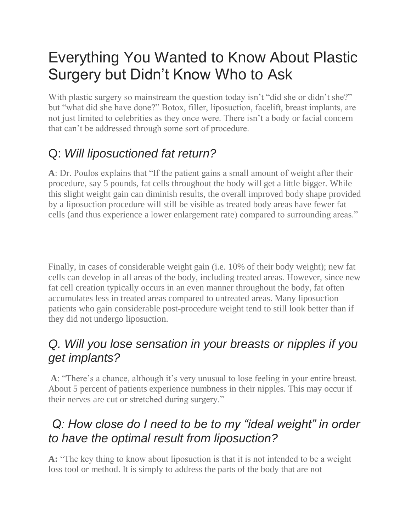# Everything You Wanted to Know About Plastic Surgery but Didn't Know Who to Ask

With plastic surgery so mainstream the question today isn't "did she or didn't she?" but "what did she have done?" Botox, filler, liposuction, facelift, breast implants, are not just limited to celebrities as they once were. There isn't a body or facial concern that can't be addressed through some sort of procedure.

## Q: *Will liposuctioned fat return?*

**A**: Dr. Poulos explains that "If the patient gains a small amount of weight after their procedure, say 5 pounds, fat cells throughout the body will get a little bigger. While this slight weight gain can diminish results, the overall improved body shape provided by a liposuction procedure will still be visible as treated body areas have fewer fat cells (and thus experience a lower enlargement rate) compared to surrounding areas."

Finally, in cases of considerable weight gain (i.e. 10% of their body weight); new fat cells can develop in all areas of the body, including treated areas. However, since new fat cell creation typically occurs in an even manner throughout the body, fat often accumulates less in treated areas compared to untreated areas. Many liposuction patients who gain considerable post-procedure weight tend to still look better than if they did not undergo liposuction.

#### *Q. Will you lose sensation in your breasts or nipples if you get implants?*

**A**: "There's a chance, although it's very unusual to lose feeling in your entire breast. About 5 percent of patients experience numbness in their nipples. This may occur if their nerves are cut or stretched during surgery."

#### *Q: How close do I need to be to my "ideal weight" in order to have the optimal result from liposuction?*

**A:** "The key thing to know about liposuction is that it is not intended to be a weight loss tool or method. It is simply to address the parts of the body that are not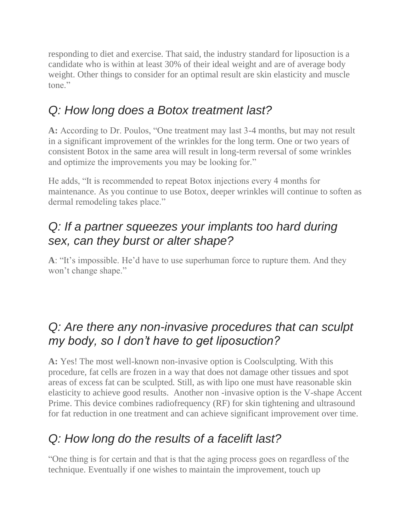responding to diet and exercise. That said, the industry standard for liposuction is a candidate who is within at least 30% of their ideal weight and are of average body weight. Other things to consider for an optimal result are skin elasticity and muscle tone."

#### *Q: How long does a Botox treatment last?*

**A:** According to Dr. Poulos, "One treatment may last 3-4 months, but may not result in a significant improvement of the wrinkles for the long term. One or two years of consistent Botox in the same area will result in long-term reversal of some wrinkles and optimize the improvements you may be looking for."

He adds, "It is recommended to repeat Botox injections every 4 months for maintenance. As you continue to use Botox, deeper wrinkles will continue to soften as dermal remodeling takes place."

#### *Q: If a partner squeezes your implants too hard during sex, can they burst or alter shape?*

**A**: "It's impossible. He'd have to use superhuman force to rupture them. And they won't change shape."

#### *Q: Are there any non-invasive procedures that can sculpt my body, so I don't have to get liposuction?*

**A:** Yes! The most well-known non-invasive option is Coolsculpting. With this procedure, fat cells are frozen in a way that does not damage other tissues and spot areas of excess fat can be sculpted. Still, as with lipo one must have reasonable skin elasticity to achieve good results. Another non -invasive option is the V-shape Accent Prime. This device combines radiofrequency (RF) for skin tightening and ultrasound for fat reduction in one treatment and can achieve significant improvement over time.

#### *Q: How long do the results of a facelift last?*

"One thing is for certain and that is that the aging process goes on regardless of the technique. Eventually if one wishes to maintain the improvement, touch up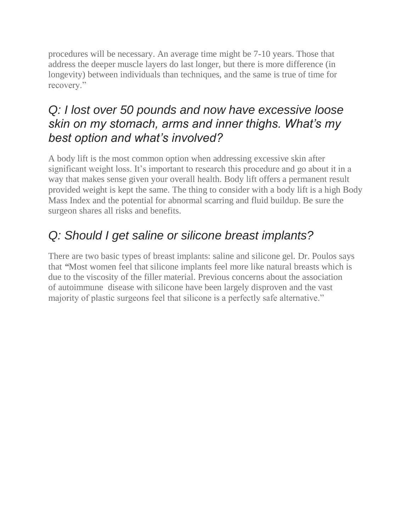procedures will be necessary. An average time might be 7-10 years. Those that address the deeper muscle layers do last longer, but there is more difference (in longevity) between individuals than techniques, and the same is true of time for recovery."

#### *Q: I lost over 50 pounds and now have excessive loose skin on my stomach, arms and inner thighs. What's my best option and what's involved?*

A body lift is the most common option when addressing excessive skin after significant weight loss. It's important to research this procedure and go about it in a way that makes sense given your overall health. Body lift offers a permanent result provided weight is kept the same. The thing to consider with a body lift is a high Body Mass Index and the potential for abnormal scarring and fluid buildup. Be sure the surgeon shares all risks and benefits.

## *Q: Should I get saline or silicone breast implants?*

There are two basic types of breast implants: saline and silicone gel. Dr. Poulos says that *"*Most women feel that silicone implants feel more like natural breasts which is due to the viscosity of the filler material. Previous concerns about the association of autoimmune disease with silicone have been largely disproven and the vast majority of plastic surgeons feel that silicone is a perfectly safe alternative."